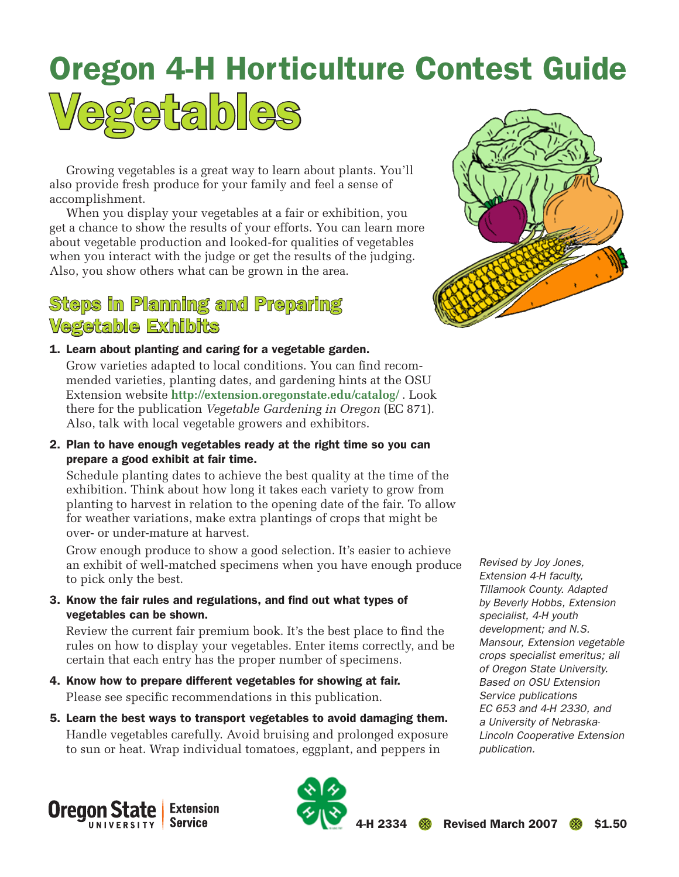# Oregon 4-H Horticulture Contest Guide Vegetables

Growing vegetables is a great way to learn about plants. You'll also provide fresh produce for your family and feel a sense of

accomplishment. When you display your vegetables at a fair or exhibition, you get a chance to show the results of your efforts. You can learn more about vegetable production and looked-for qualities of vegetables when you interact with the judge or get the results of the judging.

## Also, you show others what can be grown in the area.

## Steps in Planning and Preparing Vegetable Exhibits

1. Learn about planting and caring for a vegetable garden.

Grow varieties adapted to local conditions. You can find recommended varieties, planting dates, and gardening hints at the OSU Extension website **http://extension.oregonstate.edu/catalog/** . Look there for the publication *Vegetable Gardening in Oregon* (EC 871). Also, talk with local vegetable growers and exhibitors.

2. Plan to have enough vegetables ready at the right time so you can prepare a good exhibit at fair time.

Schedule planting dates to achieve the best quality at the time of the exhibition. Think about how long it takes each variety to grow from planting to harvest in relation to the opening date of the fair. To allow for weather variations, make extra plantings of crops that might be over- or under-mature at harvest.

Grow enough produce to show a good selection. It's easier to achieve an exhibit of well-matched specimens when you have enough produce to pick only the best.

3. Know the fair rules and regulations, and find out what types of vegetables can be shown.

Review the current fair premium book. It's the best place to find the rules on how to display your vegetables. Enter items correctly, and be certain that each entry has the proper number of specimens.

- 4. Know how to prepare different vegetables for showing at fair. Please see specific recommendations in this publication.
- 5. Learn the best ways to transport vegetables to avoid damaging them. Handle vegetables carefully. Avoid bruising and prolonged exposure to sun or heat. Wrap individual tomatoes, eggplant, and peppers in



*Revised by Joy Jones, Extension 4-H faculty, Tillamook County. Adapted by Beverly Hobbs, Extension specialist, 4-H youth development; and N.S. Mansour, Extension vegetable crops specialist emeritus; all of Oregon State University. Based on OSU Extension Service publications EC 653 and 4-H 2330, and a University of Nebraska-Lincoln Cooperative Extension publication.* 



2334 **8** Revised March 2007 8 \$1.50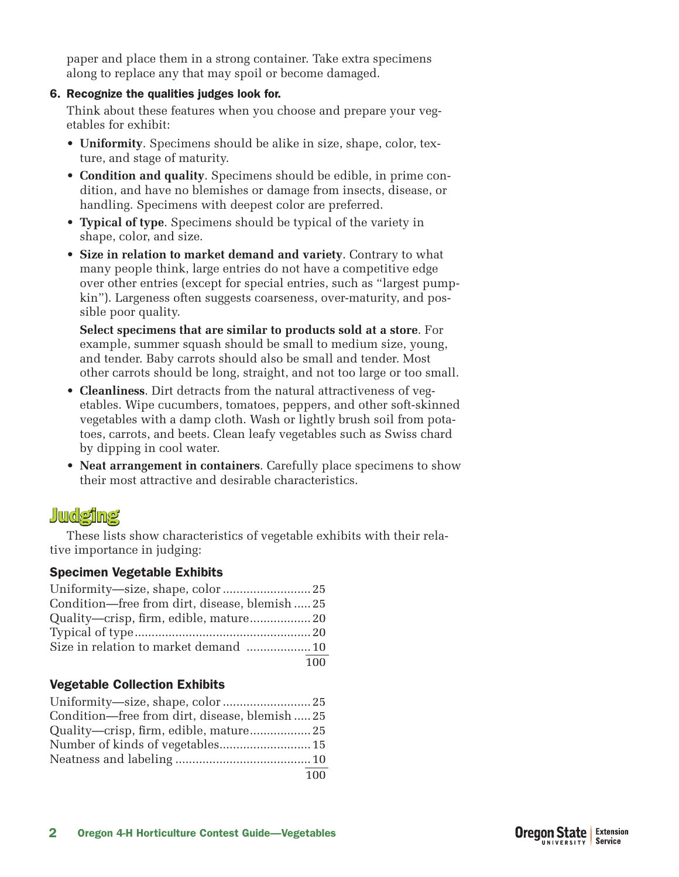paper and place them in a strong container. Take extra specimens along to replace any that may spoil or become damaged.

#### 6. Recognize the qualities judges look for.

Think about these features when you choose and prepare your vegetables for exhibit:

- **Uniformity**. Specimens should be alike in size, shape, color, texture, and stage of maturity.
- **Condition and quality**. Specimens should be edible, in prime condition, and have no blemishes or damage from insects, disease, or handling. Specimens with deepest color are preferred.
- **Typical of type**. Specimens should be typical of the variety in shape, color, and size.
- **Size in relation to market demand and variety**. Contrary to what many people think, large entries do not have a competitive edge over other entries (except for special entries, such as "largest pumpkin"). Largeness often suggests coarseness, over-maturity, and possible poor quality.

**Select specimens that are similar to products sold at a store**. For example, summer squash should be small to medium size, young, and tender. Baby carrots should also be small and tender. Most other carrots should be long, straight, and not too large or too small.

- **Cleanliness**. Dirt detracts from the natural attractiveness of vegetables. Wipe cucumbers, tomatoes, peppers, and other soft-skinned vegetables with a damp cloth. Wash or lightly brush soil from potatoes, carrots, and beets. Clean leafy vegetables such as Swiss chard by dipping in cool water.
- **Neat arrangement in containers**. Carefully place specimens to show their most attractive and desirable characteristics.

## Judging

These lists show characteristics of vegetable exhibits with their relative importance in judging:

### Specimen Vegetable Exhibits

| Condition—free from dirt, disease, blemish  25 |     |
|------------------------------------------------|-----|
|                                                |     |
|                                                |     |
|                                                |     |
|                                                | 100 |

## Vegetable Collection Exhibits

| Condition—free from dirt, disease, blemish  25 |     |
|------------------------------------------------|-----|
|                                                |     |
| Number of kinds of vegetables 15               |     |
|                                                |     |
|                                                | 100 |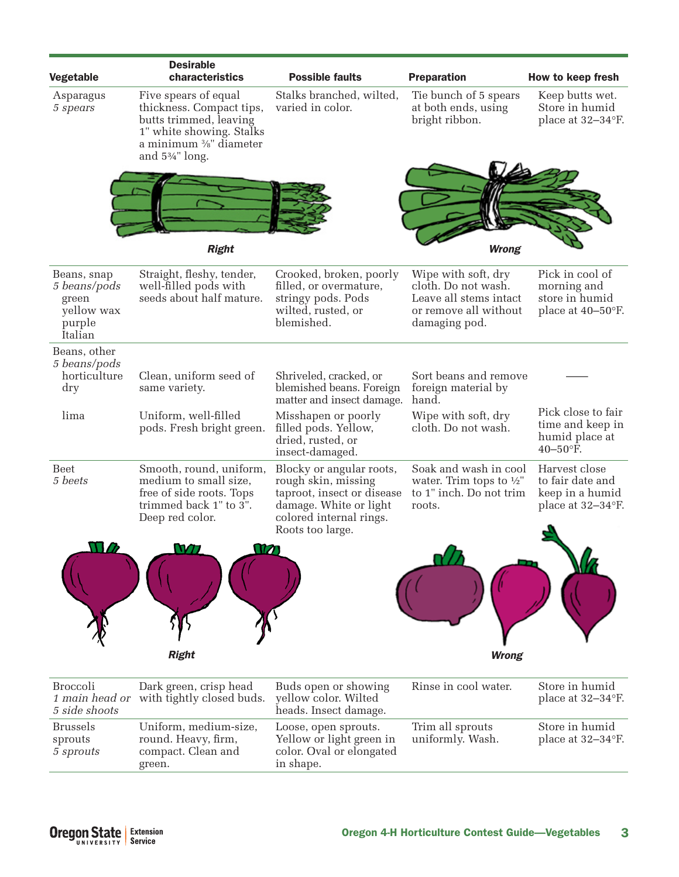| Vegetable                                                               | <b>Desirable</b><br>characteristics                                                                                                                                                       | <b>Possible faults</b>                                                                                                                                 | <b>Preparation</b>                                                                                             | How to keep fresh                                                         |
|-------------------------------------------------------------------------|-------------------------------------------------------------------------------------------------------------------------------------------------------------------------------------------|--------------------------------------------------------------------------------------------------------------------------------------------------------|----------------------------------------------------------------------------------------------------------------|---------------------------------------------------------------------------|
| Asparagus<br>5 spears                                                   | Five spears of equal<br>thickness. Compact tips,<br>butts trimmed, leaving<br>1" white showing. Stalks<br>a minimum $\frac{3}{8}$ " diameter<br>and 5 <sup>3</sup> / <sub>4</sub> " long. | Stalks branched, wilted,<br>varied in color.                                                                                                           | Tie bunch of 5 spears<br>at both ends, using<br>bright ribbon.                                                 | Keep butts wet.<br>Store in humid<br>place at 32-34°F.                    |
|                                                                         |                                                                                                                                                                                           |                                                                                                                                                        |                                                                                                                |                                                                           |
|                                                                         | <b>Right</b>                                                                                                                                                                              |                                                                                                                                                        | <b>Wrong</b>                                                                                                   |                                                                           |
| Beans, snap<br>5 beans/pods<br>green<br>yellow wax<br>purple<br>Italian | Straight, fleshy, tender,<br>well-filled pods with<br>seeds about half mature.                                                                                                            | Crooked, broken, poorly<br>filled, or overmature,<br>stringy pods. Pods<br>wilted, rusted, or<br>blemished.                                            | Wipe with soft, dry<br>cloth. Do not wash.<br>Leave all stems intact<br>or remove all without<br>damaging pod. | Pick in cool of<br>morning and<br>store in humid<br>place at 40-50°F.     |
| Beans, other                                                            |                                                                                                                                                                                           |                                                                                                                                                        |                                                                                                                |                                                                           |
| 5 beans/pods<br>horticulture<br>dry                                     | Clean, uniform seed of<br>same variety.                                                                                                                                                   | Shriveled, cracked, or<br>blemished beans. Foreign<br>matter and insect damage.                                                                        | Sort beans and remove<br>foreign material by<br>hand.                                                          |                                                                           |
| lima                                                                    | Uniform, well-filled<br>pods. Fresh bright green.                                                                                                                                         | Misshapen or poorly<br>filled pods. Yellow,<br>dried, rusted, or<br>insect-damaged.                                                                    | Wipe with soft, dry<br>cloth. Do not wash.                                                                     | Pick close to fair<br>time and keep in<br>humid place at<br>40-50°F.      |
| <b>Beet</b><br>5 beets                                                  | Smooth, round, uniform,<br>medium to small size,<br>free of side roots. Tops<br>trimmed back 1" to 3".<br>Deep red color.                                                                 | Blocky or angular roots,<br>rough skin, missing<br>taproot, insect or disease<br>damage. White or light<br>colored internal rings.<br>Roots too large. | Soak and wash in cool<br>water. Trim tops to $\frac{1}{2}$ "<br>to 1" inch. Do not trim<br>roots.              | Harvest close<br>to fair date and<br>keep in a humid<br>place at 32-34°F. |
|                                                                         |                                                                                                                                                                                           |                                                                                                                                                        |                                                                                                                |                                                                           |
|                                                                         | <b>Right</b>                                                                                                                                                                              |                                                                                                                                                        | <b>Wrong</b>                                                                                                   |                                                                           |
|                                                                         |                                                                                                                                                                                           |                                                                                                                                                        |                                                                                                                |                                                                           |
| <b>Broccoli</b><br>1 main head or<br>5 side shoots                      | Dark green, crisp head<br>with tightly closed buds.                                                                                                                                       | Buds open or showing<br>yellow color. Wilted<br>heads. Insect damage.                                                                                  | Rinse in cool water.                                                                                           | Store in humid<br>place at 32-34°F.                                       |
| <b>Brussels</b><br>sprouts<br>5 sprouts                                 | Uniform, medium-size,<br>round. Heavy, firm,<br>compact. Clean and<br>green.                                                                                                              | Loose, open sprouts.<br>Yellow or light green in<br>color. Oval or elongated<br>in shape.                                                              | Trim all sprouts<br>uniformly. Wash.                                                                           | Store in humid<br>place at 32-34°F.                                       |
|                                                                         |                                                                                                                                                                                           |                                                                                                                                                        |                                                                                                                |                                                                           |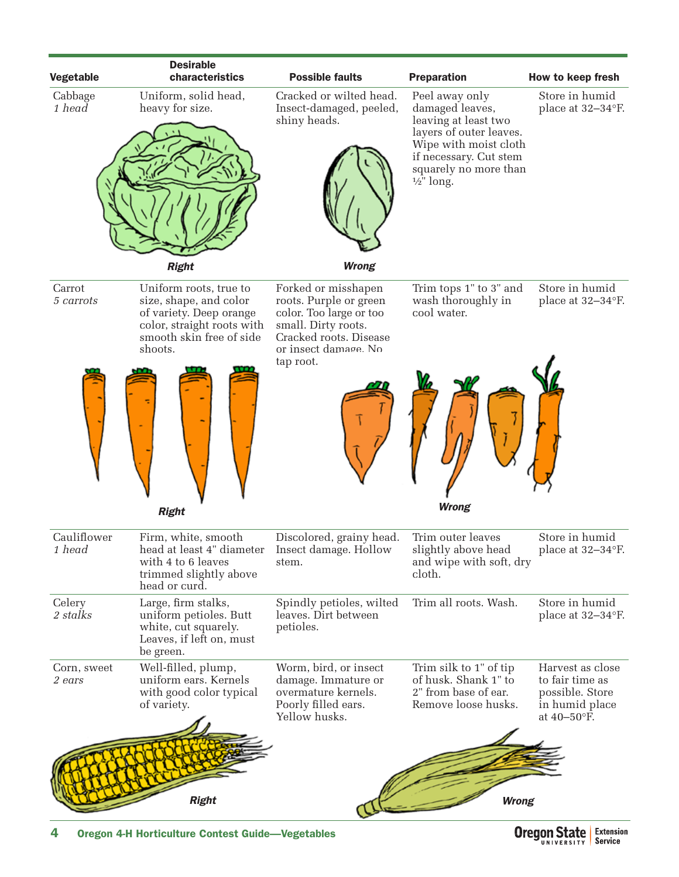

4 Oregon 4-H Horticulture Contest Guide—Vegetables

**Oregon State** Extension **Service** UNIVERSITY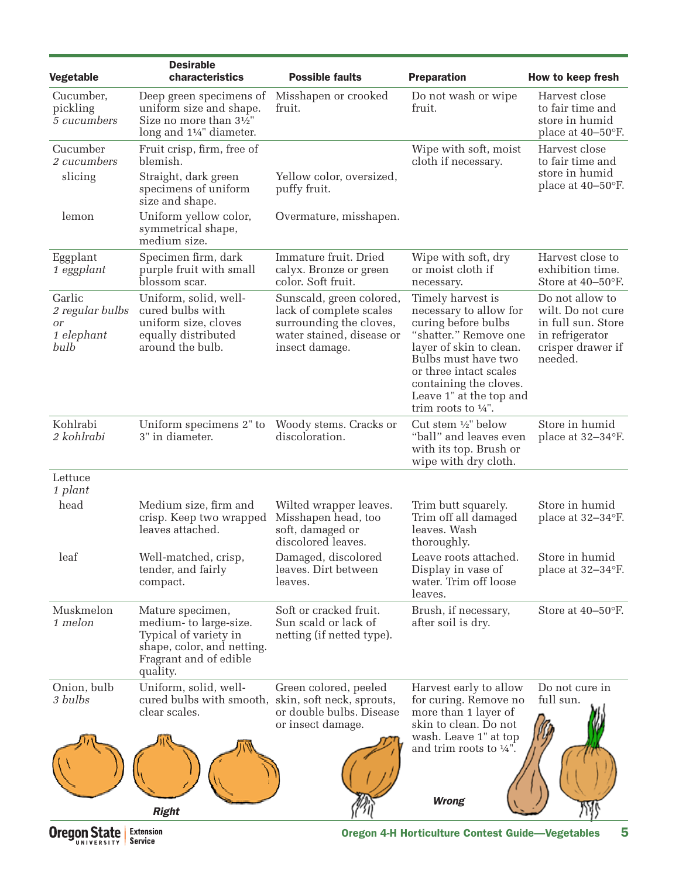| Vegetable                                             | <b>Desirable</b><br>characteristics                                                                                                     | <b>Possible faults</b>                                                                                                        | <b>Preparation</b>                                                                                                                                                                                                                                             | How to keep fresh                                                                                             |
|-------------------------------------------------------|-----------------------------------------------------------------------------------------------------------------------------------------|-------------------------------------------------------------------------------------------------------------------------------|----------------------------------------------------------------------------------------------------------------------------------------------------------------------------------------------------------------------------------------------------------------|---------------------------------------------------------------------------------------------------------------|
| Cucumber,<br>pickling<br>5 cucumbers                  | Deep green specimens of<br>uniform size and shape.<br>Size no more than 31/2"<br>long and 11/4" diameter.                               | Misshapen or crooked<br>fruit.                                                                                                | Do not wash or wipe<br>fruit.                                                                                                                                                                                                                                  | Harvest close<br>to fair time and<br>store in humid<br>place at 40–50°F.                                      |
| Cucumber<br>2 cucumbers<br>slicing                    | Fruit crisp, firm, free of<br>blemish.<br>Straight, dark green<br>specimens of uniform<br>size and shape.                               | Yellow color, oversized,<br>puffy fruit.                                                                                      | Wipe with soft, moist<br>cloth if necessary.                                                                                                                                                                                                                   | Harvest close<br>to fair time and<br>store in humid<br>place at 40-50°F.                                      |
| lemon                                                 | Uniform yellow color,<br>symmetrical shape,<br>medium size.                                                                             | Overmature, misshapen.                                                                                                        |                                                                                                                                                                                                                                                                |                                                                                                               |
| Eggplant<br>1 eggplant                                | Specimen firm, dark<br>purple fruit with small<br>blossom scar.                                                                         | Immature fruit. Dried<br>calyx. Bronze or green<br>color. Soft fruit.                                                         | Wipe with soft, dry<br>or moist cloth if<br>necessary.                                                                                                                                                                                                         | Harvest close to<br>exhibition time.<br>Store at 40-50°F.                                                     |
| Garlic<br>2 regular bulbs<br>0r<br>1 elephant<br>bulb | Uniform, solid, well-<br>cured bulbs with<br>uniform size, cloves<br>equally distributed<br>around the bulb.                            | Sunscald, green colored,<br>lack of complete scales<br>surrounding the cloves,<br>water stained, disease or<br>insect damage. | Timely harvest is<br>necessary to allow for<br>curing before bulbs<br>"shatter." Remove one<br>layer of skin to clean.<br>Bulbs must have two<br>or three intact scales<br>containing the cloves.<br>Leave 1" at the top and<br>trim roots to $\frac{1}{4}$ ". | Do not allow to<br>wilt. Do not cure<br>in full sun. Store<br>in refrigerator<br>crisper drawer if<br>needed. |
| Kohlrabi<br>2 kohlrabi                                | Uniform specimens 2" to<br>3" in diameter.                                                                                              | Woody stems. Cracks or<br>discoloration.                                                                                      | Cut stem 1/2" below<br>"ball" and leaves even<br>with its top. Brush or<br>wipe with dry cloth.                                                                                                                                                                | Store in humid<br>place at 32-34°F.                                                                           |
| Lettuce<br>1 plant                                    |                                                                                                                                         |                                                                                                                               |                                                                                                                                                                                                                                                                |                                                                                                               |
| head                                                  | Medium size, firm and<br>crisp. Keep two wrapped<br>leaves attached.                                                                    | Wilted wrapper leaves.<br>Misshapen head, too<br>soft, damaged or<br>discolored leaves.                                       | Trim butt squarely.<br>Trim off all damaged<br>leaves. Wash<br>thoroughly.                                                                                                                                                                                     | Store in humid<br>place at 32-34°F.                                                                           |
| leaf                                                  | Well-matched, crisp,<br>tender, and fairly<br>compact.                                                                                  | Damaged, discolored<br>leaves. Dirt between<br>leaves.                                                                        | Leave roots attached.<br>Display in vase of<br>water. Trim off loose<br>leaves.                                                                                                                                                                                | Store in humid<br>place at 32-34°F.                                                                           |
| Muskmelon<br>1 melon                                  | Mature specimen,<br>medium- to large-size.<br>Typical of variety in<br>shape, color, and netting.<br>Fragrant and of edible<br>quality. | Soft or cracked fruit.<br>Sun scald or lack of<br>netting (if netted type).                                                   | Brush, if necessary,<br>after soil is dry.                                                                                                                                                                                                                     | Store at 40–50°F.                                                                                             |
| Onion, bulb<br>3 bulbs                                | Uniform, solid, well-<br>cured bulbs with smooth, skin, soft neck, sprouts,<br>clear scales.                                            | Green colored, peeled<br>or double bulbs. Disease<br>or insect damage.                                                        | Harvest early to allow<br>for curing. Remove no<br>more than 1 layer of<br>skin to clean. Do not<br>wash. Leave 1" at top<br>and trim roots to $\frac{1}{4}$ ".                                                                                                | Do not cure in<br>full sun.                                                                                   |
|                                                       | <b>Right</b>                                                                                                                            |                                                                                                                               | <b>Wrong</b>                                                                                                                                                                                                                                                   |                                                                                                               |
| <b>Oregon State</b>                                   | <b>Extension</b><br><b>Service</b>                                                                                                      |                                                                                                                               | <b>Oregon 4-H Horticulture Contest Guide-Vegetables</b>                                                                                                                                                                                                        | 5                                                                                                             |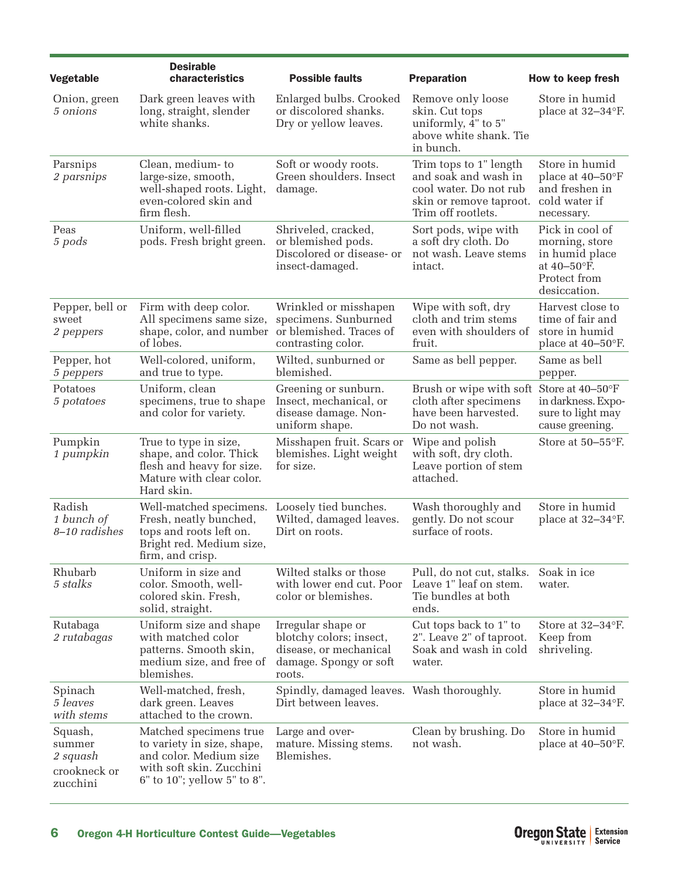| Vegetable                                                 | <b>Desirable</b><br>characteristics                                                                                                       | <b>Possible faults</b>                                                                                      | <b>Preparation</b>                                                                                                        | How to keep fresh                                                                                  |
|-----------------------------------------------------------|-------------------------------------------------------------------------------------------------------------------------------------------|-------------------------------------------------------------------------------------------------------------|---------------------------------------------------------------------------------------------------------------------------|----------------------------------------------------------------------------------------------------|
|                                                           |                                                                                                                                           |                                                                                                             |                                                                                                                           |                                                                                                    |
| Onion, green<br>5 onions                                  | Dark green leaves with<br>long, straight, slender<br>white shanks.                                                                        | Enlarged bulbs. Crooked<br>or discolored shanks.<br>Dry or yellow leaves.                                   | Remove only loose<br>skin. Cut tops<br>uniformly, $\bar{4}$ " to 5"<br>above white shank. Tie<br>in bunch.                | Store in humid<br>place at 32-34°F.                                                                |
| Parsnips<br>2 parsnips                                    | Clean, medium-to<br>large-size, smooth,<br>well-shaped roots. Light,<br>even-colored skin and<br>firm flesh.                              | Soft or woody roots.<br>Green shoulders. Insect<br>damage.                                                  | Trim tops to 1" length<br>and soak and wash in<br>cool water. Do not rub<br>skin or remove taproot.<br>Trim off rootlets. | Store in humid<br>place at 40-50°F<br>and freshen in<br>cold water if<br>necessary.                |
| Peas<br>5 pods                                            | Uniform, well-filled<br>pods. Fresh bright green.                                                                                         | Shriveled, cracked,<br>or blemished pods.<br>Discolored or disease- or<br>insect-damaged.                   | Sort pods, wipe with<br>a soft dry cloth. Do<br>not wash. Leave stems<br>intact.                                          | Pick in cool of<br>morning, store<br>in humid place<br>at 40-50°F.<br>Protect from<br>desiccation. |
| Pepper, bell or<br>sweet<br>2 peppers                     | Firm with deep color.<br>All specimens same size,<br>shape, color, and number<br>of lobes.                                                | Wrinkled or misshapen<br>specimens. Sunburned<br>or blemished. Traces of<br>contrasting color.              | Wipe with soft, dry<br>cloth and trim stems<br>even with shoulders of<br>fruit.                                           | Harvest close to<br>time of fair and<br>store in humid<br>place at $40-50$ °F.                     |
| Pepper, hot<br>5 peppers                                  | Well-colored, uniform,<br>and true to type.                                                                                               | Wilted, sunburned or<br>blemished.                                                                          | Same as bell pepper.                                                                                                      | Same as bell<br>pepper.                                                                            |
| Potatoes<br>5 potatoes                                    | Uniform, clean<br>specimens, true to shape<br>and color for variety.                                                                      | Greening or sunburn.<br>Insect, mechanical, or<br>disease damage. Non-<br>uniform shape.                    | Brush or wipe with soft<br>cloth after specimens<br>have been harvested.<br>Do not wash.                                  | Store at 40–50°F<br>in darkness. Expo-<br>sure to light may<br>cause greening.                     |
| Pumpkin<br>1 pumpkin                                      | True to type in size,<br>shape, and color. Thick<br>flesh and heavy for size.<br>Mature with clear color.<br>Hard skin.                   | Misshapen fruit. Scars or<br>blemishes. Light weight<br>for size.                                           | Wipe and polish<br>with soft, dry cloth.<br>Leave portion of stem<br>attached.                                            | Store at $50-55$ °F.                                                                               |
| Radish<br>1 bunch of<br>8-10 radishes                     | Well-matched specimens.<br>Fresh, neatly bunched,<br>tops and roots left on.<br>Bright red. Medium size,<br>firm, and crisp.              | Loosely tied bunches.<br>Wilted, damaged leaves.<br>Dirt on roots.                                          | Wash thoroughly and<br>gently. Do not scour<br>surface of roots.                                                          | Store in humid<br>place at 32-34°F.                                                                |
| Rhubarb<br>5 stalks                                       | Uniform in size and<br>color. Smooth, well-<br>colored skin. Fresh,<br>solid, straight.                                                   | Wilted stalks or those<br>with lower end cut. Poor<br>color or blemishes.                                   | Pull, do not cut, stalks.<br>Leave 1" leaf on stem.<br>Tie bundles at both<br>ends.                                       | Soak in ice<br>water.                                                                              |
| Rutabaga<br>2 rutabagas                                   | Uniform size and shape<br>with matched color<br>patterns. Smooth skin,<br>medium size, and free of<br>blemishes.                          | Irregular shape or<br>blotchy colors; insect,<br>disease, or mechanical<br>damage. Spongy or soft<br>roots. | Cut tops back to 1" to<br>2". Leave 2" of taproot.<br>Soak and wash in cold<br>water.                                     | Store at $32-34$ °F.<br>Keep from<br>shriveling.                                                   |
| Spinach<br>5 leaves<br>with stems                         | Well-matched, fresh,<br>dark green. Leaves<br>attached to the crown.                                                                      | Spindly, damaged leaves. Wash thoroughly.<br>Dirt between leaves.                                           |                                                                                                                           | Store in humid<br>place at 32-34°F.                                                                |
| Squash,<br>summer<br>2 squash<br>crookneck or<br>zucchini | Matched specimens true<br>to variety in size, shape,<br>and color. Medium size<br>with soft skin. Zucchini<br>6" to 10"; yellow 5" to 8". | Large and over-<br>mature. Missing stems.<br>Blemishes.                                                     | Clean by brushing. Do<br>not wash.                                                                                        | Store in humid<br>place at $40-50$ °F.                                                             |